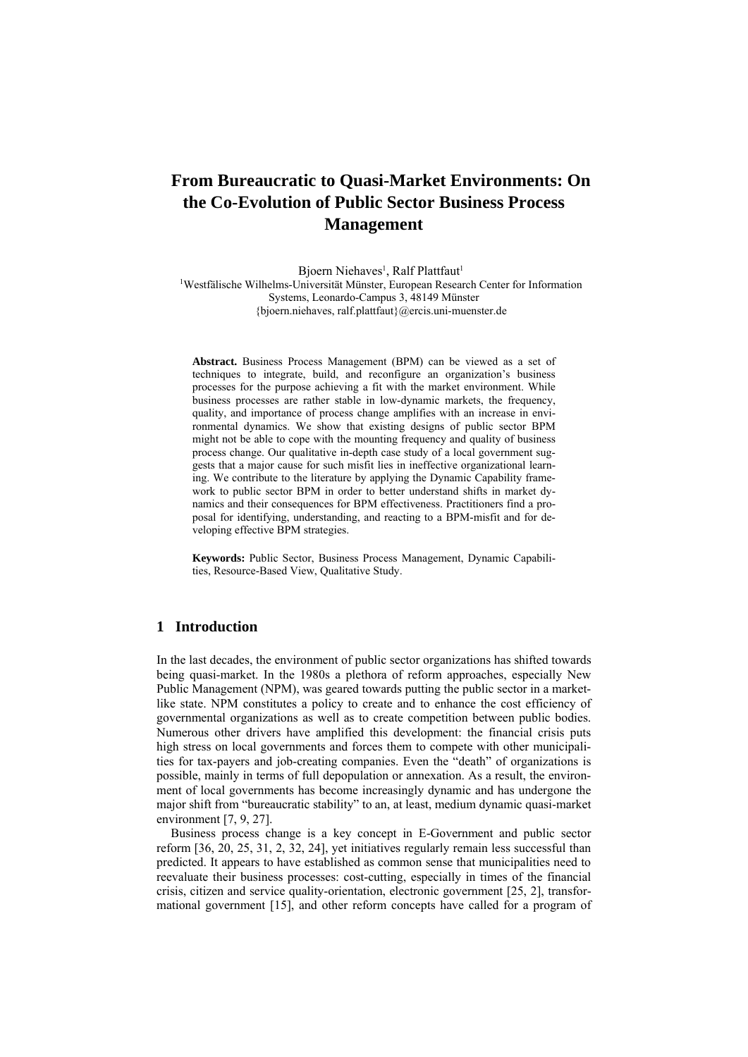# **From Bureaucratic to Quasi-Market Environments: On the Co-Evolution of Public Sector Business Process Management**

Bjoern Niehaves<sup>1</sup>, Ralf Plattfaut<sup>1</sup> 1Westfälische Wilhelms-Universität Münster, European Research Center for Information Systems, Leonardo-Campus 3, 48149 Münster {bjoern.niehaves, ralf.plattfaut}@ercis.uni-muenster.de

**Abstract.** Business Process Management (BPM) can be viewed as a set of techniques to integrate, build, and reconfigure an organization's business processes for the purpose achieving a fit with the market environment. While business processes are rather stable in low-dynamic markets, the frequency, quality, and importance of process change amplifies with an increase in environmental dynamics. We show that existing designs of public sector BPM might not be able to cope with the mounting frequency and quality of business process change. Our qualitative in-depth case study of a local government suggests that a major cause for such misfit lies in ineffective organizational learning. We contribute to the literature by applying the Dynamic Capability framework to public sector BPM in order to better understand shifts in market dynamics and their consequences for BPM effectiveness. Practitioners find a proposal for identifying, understanding, and reacting to a BPM-misfit and for developing effective BPM strategies.

**Keywords:** Public Sector, Business Process Management, Dynamic Capabilities, Resource-Based View, Qualitative Study.

# **1 Introduction**

In the last decades, the environment of public sector organizations has shifted towards being quasi-market. In the 1980s a plethora of reform approaches, especially New Public Management (NPM), was geared towards putting the public sector in a marketlike state. NPM constitutes a policy to create and to enhance the cost efficiency of governmental organizations as well as to create competition between public bodies. Numerous other drivers have amplified this development: the financial crisis puts high stress on local governments and forces them to compete with other municipalities for tax-payers and job-creating companies. Even the "death" of organizations is possible, mainly in terms of full depopulation or annexation. As a result, the environment of local governments has become increasingly dynamic and has undergone the major shift from "bureaucratic stability" to an, at least, medium dynamic quasi-market environment [7, 9, 27].

Business process change is a key concept in E-Government and public sector reform [36, 20, 25, 31, 2, 32, 24], yet initiatives regularly remain less successful than predicted. It appears to have established as common sense that municipalities need to reevaluate their business processes: cost-cutting, especially in times of the financial crisis, citizen and service quality-orientation, electronic government [25, 2], transformational government [15], and other reform concepts have called for a program of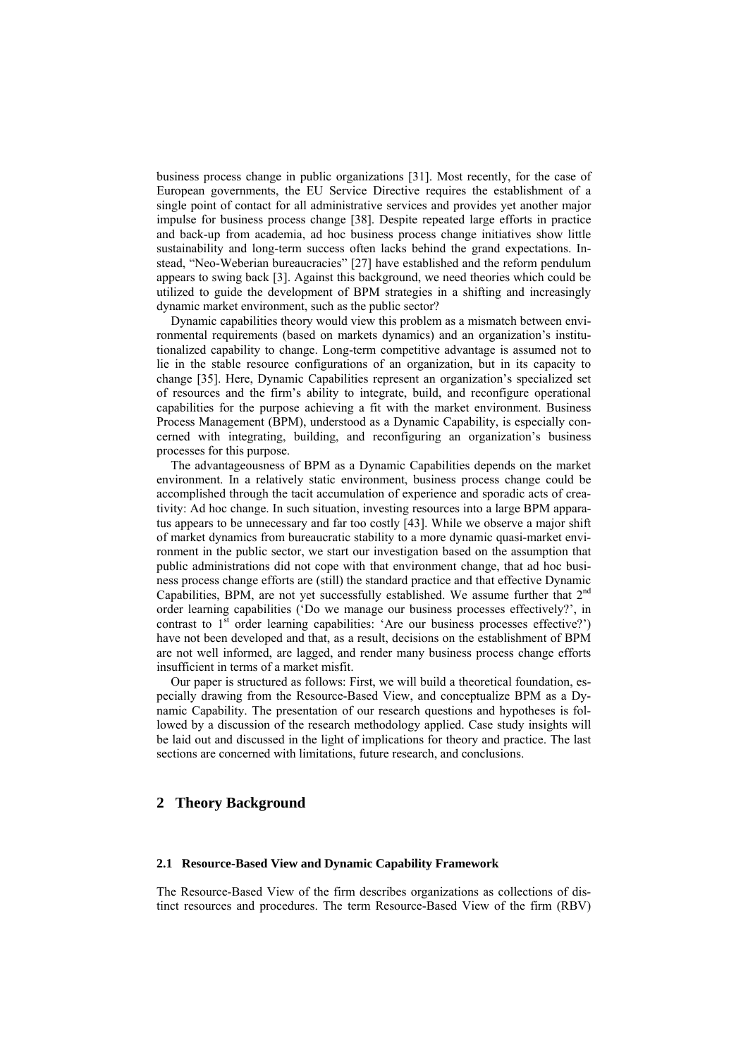business process change in public organizations [31]. Most recently, for the case of European governments, the EU Service Directive requires the establishment of a single point of contact for all administrative services and provides yet another major impulse for business process change [38]. Despite repeated large efforts in practice and back-up from academia, ad hoc business process change initiatives show little sustainability and long-term success often lacks behind the grand expectations. Instead, "Neo-Weberian bureaucracies" [27] have established and the reform pendulum appears to swing back [3]. Against this background, we need theories which could be utilized to guide the development of BPM strategies in a shifting and increasingly dynamic market environment, such as the public sector?

Dynamic capabilities theory would view this problem as a mismatch between environmental requirements (based on markets dynamics) and an organization's institutionalized capability to change. Long-term competitive advantage is assumed not to lie in the stable resource configurations of an organization, but in its capacity to change [35]. Here, Dynamic Capabilities represent an organization's specialized set of resources and the firm's ability to integrate, build, and reconfigure operational capabilities for the purpose achieving a fit with the market environment. Business Process Management (BPM), understood as a Dynamic Capability, is especially concerned with integrating, building, and reconfiguring an organization's business processes for this purpose.

The advantageousness of BPM as a Dynamic Capabilities depends on the market environment. In a relatively static environment, business process change could be accomplished through the tacit accumulation of experience and sporadic acts of creativity: Ad hoc change. In such situation, investing resources into a large BPM apparatus appears to be unnecessary and far too costly [43]. While we observe a major shift of market dynamics from bureaucratic stability to a more dynamic quasi-market environment in the public sector, we start our investigation based on the assumption that public administrations did not cope with that environment change, that ad hoc business process change efforts are (still) the standard practice and that effective Dynamic Capabilities, BPM, are not yet successfully established. We assume further that  $2<sup>nd</sup>$ order learning capabilities ('Do we manage our business processes effectively?', in contrast to  $1^{\overline{st}}$  order learning capabilities: 'Are our business processes effective?') have not been developed and that, as a result, decisions on the establishment of BPM are not well informed, are lagged, and render many business process change efforts insufficient in terms of a market misfit.

Our paper is structured as follows: First, we will build a theoretical foundation, especially drawing from the Resource-Based View, and conceptualize BPM as a Dynamic Capability. The presentation of our research questions and hypotheses is followed by a discussion of the research methodology applied. Case study insights will be laid out and discussed in the light of implications for theory and practice. The last sections are concerned with limitations, future research, and conclusions.

# **2 Theory Background**

### **2.1 Resource-Based View and Dynamic Capability Framework**

The Resource-Based View of the firm describes organizations as collections of distinct resources and procedures. The term Resource-Based View of the firm (RBV)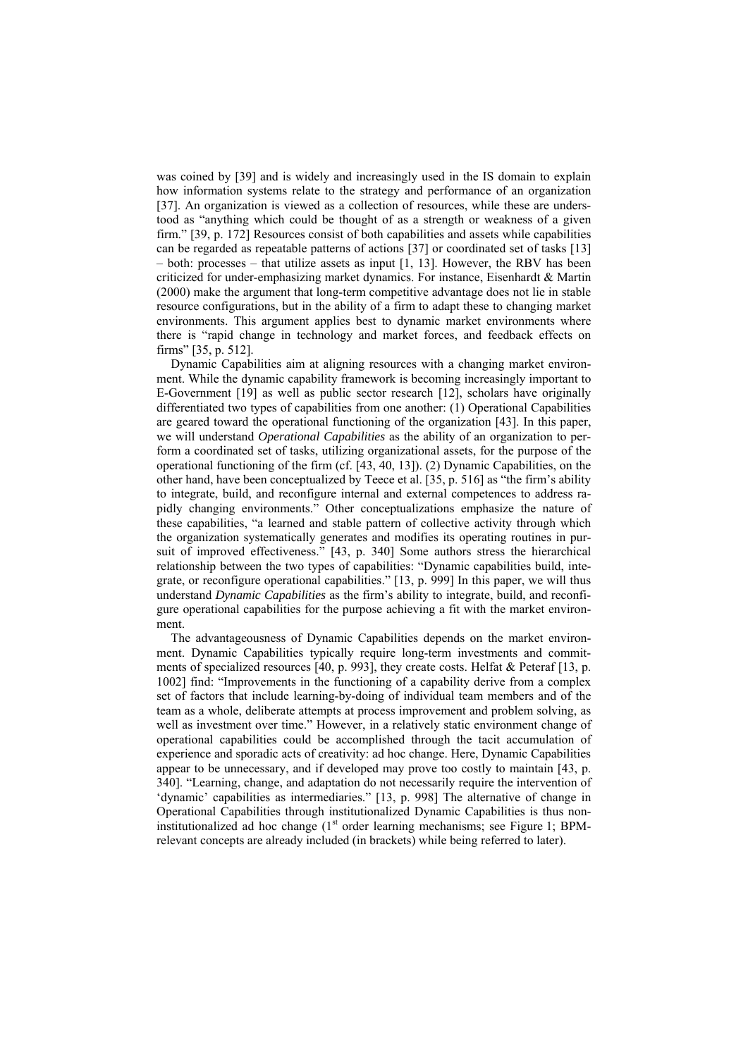was coined by [39] and is widely and increasingly used in the IS domain to explain how information systems relate to the strategy and performance of an organization [37]. An organization is viewed as a collection of resources, while these are understood as "anything which could be thought of as a strength or weakness of a given firm." [39, p. 172] Resources consist of both capabilities and assets while capabilities can be regarded as repeatable patterns of actions [37] or coordinated set of tasks [13]  $-$  both: processes  $-$  that utilize assets as input [1, 13]. However, the RBV has been criticized for under-emphasizing market dynamics. For instance, Eisenhardt & Martin (2000) make the argument that long-term competitive advantage does not lie in stable resource configurations, but in the ability of a firm to adapt these to changing market environments. This argument applies best to dynamic market environments where there is "rapid change in technology and market forces, and feedback effects on firms" [35, p. 512].

Dynamic Capabilities aim at aligning resources with a changing market environment. While the dynamic capability framework is becoming increasingly important to E-Government [19] as well as public sector research [12], scholars have originally differentiated two types of capabilities from one another: (1) Operational Capabilities are geared toward the operational functioning of the organization [43]. In this paper, we will understand *Operational Capabilities* as the ability of an organization to perform a coordinated set of tasks, utilizing organizational assets, for the purpose of the operational functioning of the firm (cf. [43, 40, 13]). (2) Dynamic Capabilities, on the other hand, have been conceptualized by Teece et al. [35, p. 516] as "the firm's ability to integrate, build, and reconfigure internal and external competences to address rapidly changing environments." Other conceptualizations emphasize the nature of these capabilities, "a learned and stable pattern of collective activity through which the organization systematically generates and modifies its operating routines in pursuit of improved effectiveness." [43, p. 340] Some authors stress the hierarchical relationship between the two types of capabilities: "Dynamic capabilities build, integrate, or reconfigure operational capabilities." [13, p. 999] In this paper, we will thus understand *Dynamic Capabilities* as the firm's ability to integrate, build, and reconfigure operational capabilities for the purpose achieving a fit with the market environment.

The advantageousness of Dynamic Capabilities depends on the market environment. Dynamic Capabilities typically require long-term investments and commitments of specialized resources [40, p. 993], they create costs. Helfat & Peteraf [13, p. 1002] find: "Improvements in the functioning of a capability derive from a complex set of factors that include learning-by-doing of individual team members and of the team as a whole, deliberate attempts at process improvement and problem solving, as well as investment over time." However, in a relatively static environment change of operational capabilities could be accomplished through the tacit accumulation of experience and sporadic acts of creativity: ad hoc change. Here, Dynamic Capabilities appear to be unnecessary, and if developed may prove too costly to maintain [43, p. 340]. "Learning, change, and adaptation do not necessarily require the intervention of 'dynamic' capabilities as intermediaries." [13, p. 998] The alternative of change in Operational Capabilities through institutionalized Dynamic Capabilities is thus noninstitutionalized ad hoc change  $(1<sup>st</sup>$  order learning mechanisms; see Figure 1; BPMrelevant concepts are already included (in brackets) while being referred to later).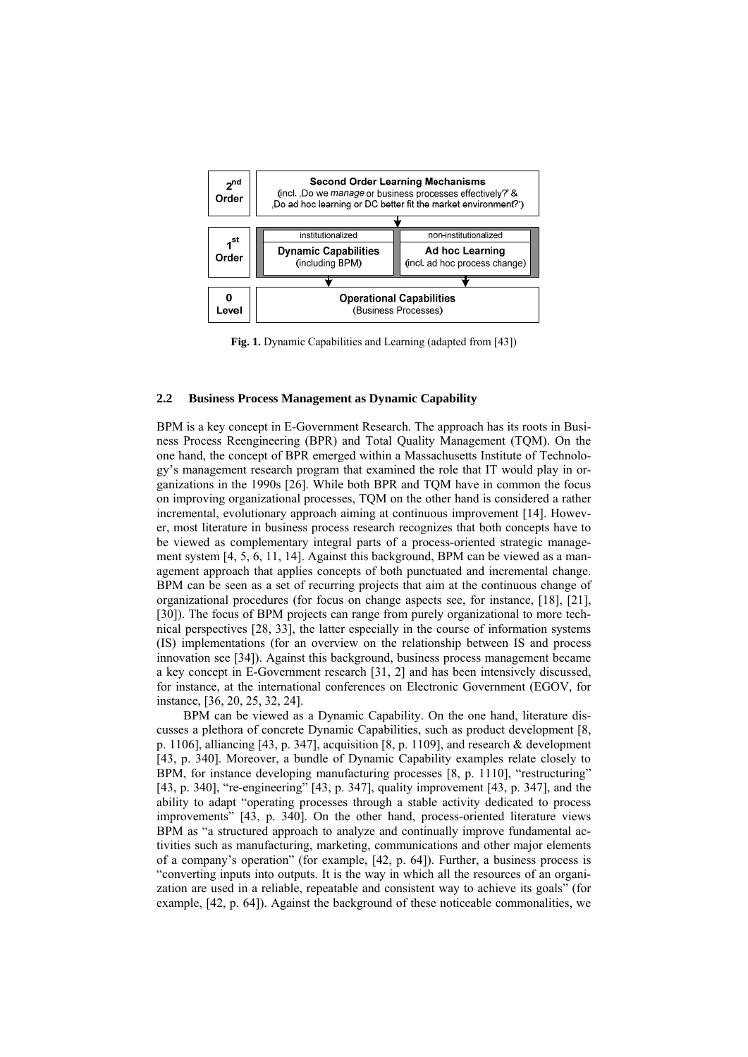

**Fig. 1.** Dynamic Capabilities and Learning (adapted from [43])

#### **2.2 Business Process Management as Dynamic Capability**

BPM is a key concept in E-Government Research. The approach has its roots in Business Process Reengineering (BPR) and Total Quality Management (TQM). On the one hand, the concept of BPR emerged within a Massachusetts Institute of Technology's management research program that examined the role that IT would play in organizations in the 1990s [26]. While both BPR and TQM have in common the focus on improving organizational processes, TQM on the other hand is considered a rather incremental, evolutionary approach aiming at continuous improvement [14]. However, most literature in business process research recognizes that both concepts have to be viewed as complementary integral parts of a process-oriented strategic management system [4, 5, 6, 11, 14]. Against this background, BPM can be viewed as a management approach that applies concepts of both punctuated and incremental change. BPM can be seen as a set of recurring projects that aim at the continuous change of organizational procedures (for focus on change aspects see, for instance, [18], [21], [30]). The focus of BPM projects can range from purely organizational to more technical perspectives [28, 33], the latter especially in the course of information systems (IS) implementations (for an overview on the relationship between IS and process innovation see [34]). Against this background, business process management became a key concept in E-Government research [31, 2] and has been intensively discussed, for instance, at the international conferences on Electronic Government (EGOV, for instance, [36, 20, 25, 32, 24].

BPM can be viewed as a Dynamic Capability. On the one hand, literature discusses a plethora of concrete Dynamic Capabilities, such as product development [8, p. 1106], alliancing [43, p. 347], acquisition [8, p. 1109], and research & development [43, p. 340]. Moreover, a bundle of Dynamic Capability examples relate closely to BPM, for instance developing manufacturing processes [8, p. 1110], "restructuring" [43, p. 340], "re-engineering" [43, p. 347], quality improvement [43, p. 347], and the ability to adapt "operating processes through a stable activity dedicated to process improvements" [43, p. 340]. On the other hand, process-oriented literature views BPM as "a structured approach to analyze and continually improve fundamental activities such as manufacturing, marketing, communications and other major elements of a company's operation" (for example, [42, p. 64]). Further, a business process is "converting inputs into outputs. It is the way in which all the resources of an organization are used in a reliable, repeatable and consistent way to achieve its goals" (for example, [42, p. 64]). Against the background of these noticeable commonalities, we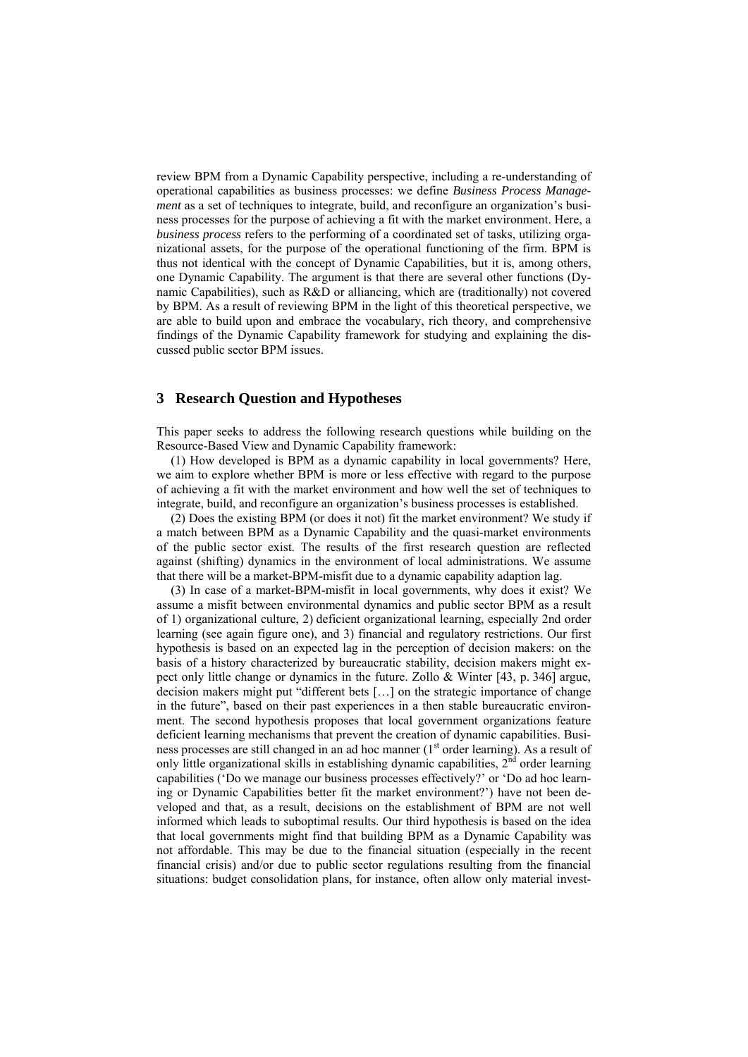review BPM from a Dynamic Capability perspective, including a re-understanding of operational capabilities as business processes: we define *Business Process Management* as a set of techniques to integrate, build, and reconfigure an organization's business processes for the purpose of achieving a fit with the market environment. Here, a *business process* refers to the performing of a coordinated set of tasks, utilizing organizational assets, for the purpose of the operational functioning of the firm. BPM is thus not identical with the concept of Dynamic Capabilities, but it is, among others, one Dynamic Capability. The argument is that there are several other functions (Dynamic Capabilities), such as R&D or alliancing, which are (traditionally) not covered by BPM. As a result of reviewing BPM in the light of this theoretical perspective, we are able to build upon and embrace the vocabulary, rich theory, and comprehensive findings of the Dynamic Capability framework for studying and explaining the discussed public sector BPM issues.

### **3 Research Question and Hypotheses**

This paper seeks to address the following research questions while building on the Resource-Based View and Dynamic Capability framework:

(1) How developed is BPM as a dynamic capability in local governments? Here, we aim to explore whether BPM is more or less effective with regard to the purpose of achieving a fit with the market environment and how well the set of techniques to integrate, build, and reconfigure an organization's business processes is established.

(2) Does the existing BPM (or does it not) fit the market environment? We study if a match between BPM as a Dynamic Capability and the quasi-market environments of the public sector exist. The results of the first research question are reflected against (shifting) dynamics in the environment of local administrations. We assume that there will be a market-BPM-misfit due to a dynamic capability adaption lag.

(3) In case of a market-BPM-misfit in local governments, why does it exist? We assume a misfit between environmental dynamics and public sector BPM as a result of 1) organizational culture, 2) deficient organizational learning, especially 2nd order learning (see again figure one), and 3) financial and regulatory restrictions. Our first hypothesis is based on an expected lag in the perception of decision makers: on the basis of a history characterized by bureaucratic stability, decision makers might expect only little change or dynamics in the future. Zollo & Winter [43, p. 346] argue, decision makers might put "different bets […] on the strategic importance of change in the future", based on their past experiences in a then stable bureaucratic environment. The second hypothesis proposes that local government organizations feature deficient learning mechanisms that prevent the creation of dynamic capabilities. Business processes are still changed in an ad hoc manner  $(1<sup>st</sup>$  order learning). As a result of only little organizational skills in establishing dynamic capabilities,  $2<sup>nd</sup>$  order learning capabilities ('Do we manage our business processes effectively?' or 'Do ad hoc learning or Dynamic Capabilities better fit the market environment?') have not been developed and that, as a result, decisions on the establishment of BPM are not well informed which leads to suboptimal results. Our third hypothesis is based on the idea that local governments might find that building BPM as a Dynamic Capability was not affordable. This may be due to the financial situation (especially in the recent financial crisis) and/or due to public sector regulations resulting from the financial situations: budget consolidation plans, for instance, often allow only material invest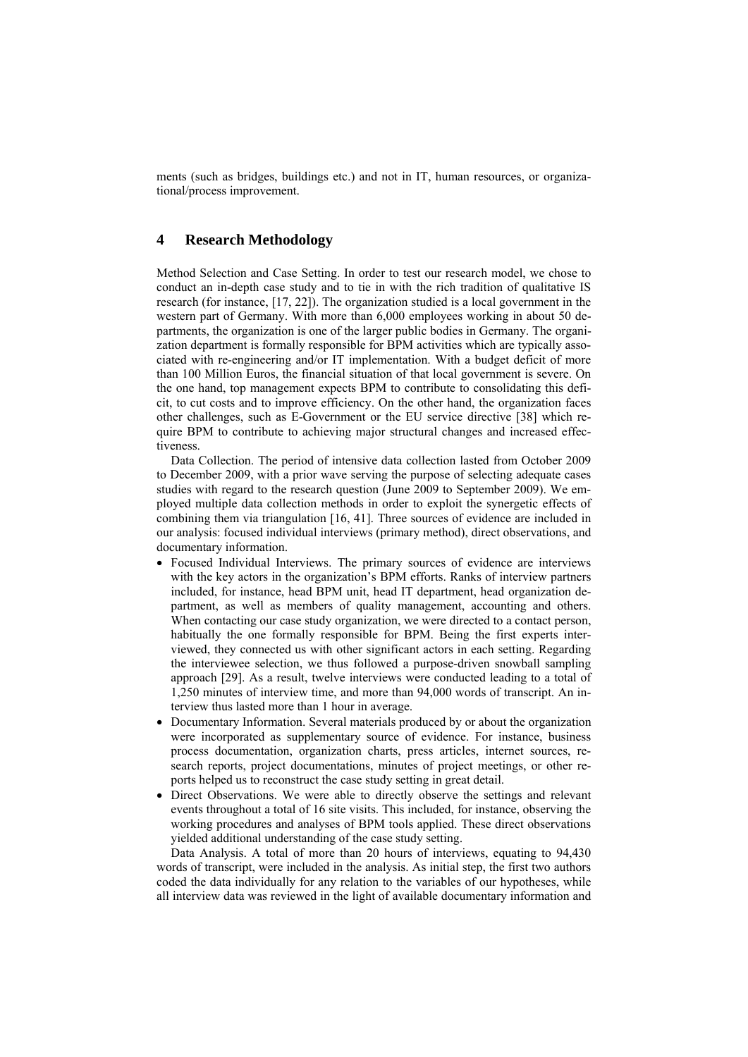ments (such as bridges, buildings etc.) and not in IT, human resources, or organizational/process improvement.

# **4 Research Methodology**

Method Selection and Case Setting. In order to test our research model, we chose to conduct an in-depth case study and to tie in with the rich tradition of qualitative IS research (for instance, [17, 22]). The organization studied is a local government in the western part of Germany. With more than 6,000 employees working in about 50 departments, the organization is one of the larger public bodies in Germany. The organization department is formally responsible for BPM activities which are typically associated with re-engineering and/or IT implementation. With a budget deficit of more than 100 Million Euros, the financial situation of that local government is severe. On the one hand, top management expects BPM to contribute to consolidating this deficit, to cut costs and to improve efficiency. On the other hand, the organization faces other challenges, such as E-Government or the EU service directive [38] which require BPM to contribute to achieving major structural changes and increased effectiveness.

Data Collection. The period of intensive data collection lasted from October 2009 to December 2009, with a prior wave serving the purpose of selecting adequate cases studies with regard to the research question (June 2009 to September 2009). We employed multiple data collection methods in order to exploit the synergetic effects of combining them via triangulation [16, 41]. Three sources of evidence are included in our analysis: focused individual interviews (primary method), direct observations, and documentary information.

- Focused Individual Interviews. The primary sources of evidence are interviews with the key actors in the organization's BPM efforts. Ranks of interview partners included, for instance, head BPM unit, head IT department, head organization department, as well as members of quality management, accounting and others. When contacting our case study organization, we were directed to a contact person, habitually the one formally responsible for BPM. Being the first experts interviewed, they connected us with other significant actors in each setting. Regarding the interviewee selection, we thus followed a purpose-driven snowball sampling approach [29]. As a result, twelve interviews were conducted leading to a total of 1,250 minutes of interview time, and more than 94,000 words of transcript. An interview thus lasted more than 1 hour in average.
- Documentary Information. Several materials produced by or about the organization were incorporated as supplementary source of evidence. For instance, business process documentation, organization charts, press articles, internet sources, research reports, project documentations, minutes of project meetings, or other reports helped us to reconstruct the case study setting in great detail.
- Direct Observations. We were able to directly observe the settings and relevant events throughout a total of 16 site visits. This included, for instance, observing the working procedures and analyses of BPM tools applied. These direct observations yielded additional understanding of the case study setting.

Data Analysis. A total of more than 20 hours of interviews, equating to 94,430 words of transcript, were included in the analysis. As initial step, the first two authors coded the data individually for any relation to the variables of our hypotheses, while all interview data was reviewed in the light of available documentary information and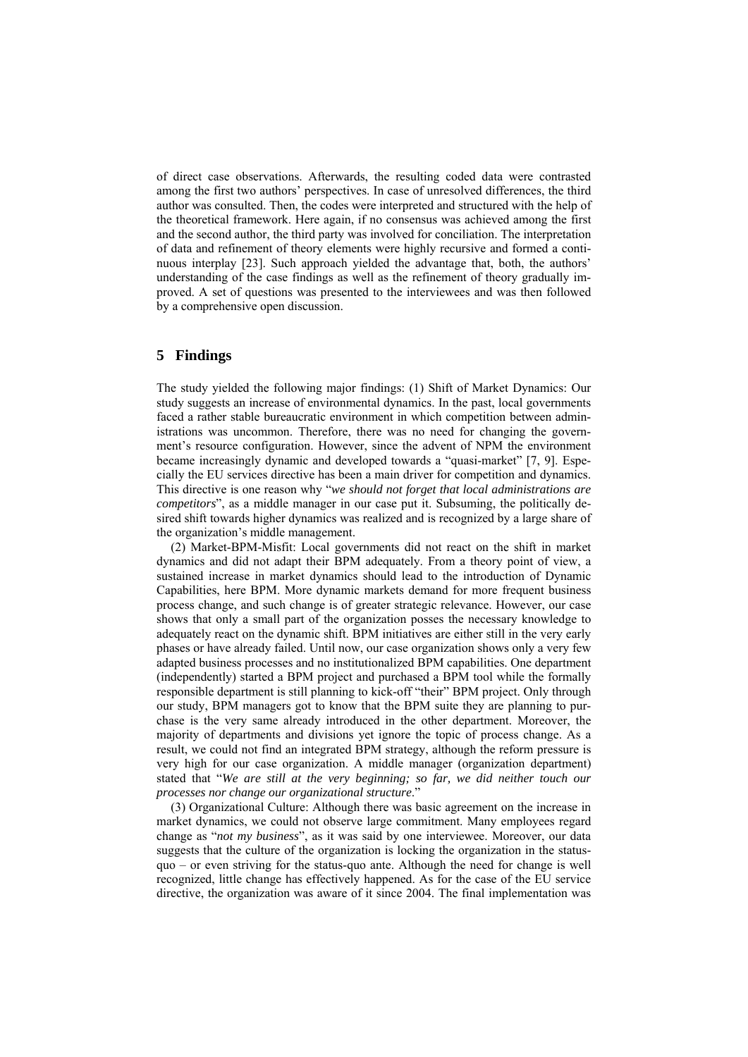of direct case observations. Afterwards, the resulting coded data were contrasted among the first two authors' perspectives. In case of unresolved differences, the third author was consulted. Then, the codes were interpreted and structured with the help of the theoretical framework. Here again, if no consensus was achieved among the first and the second author, the third party was involved for conciliation. The interpretation of data and refinement of theory elements were highly recursive and formed a continuous interplay [23]. Such approach yielded the advantage that, both, the authors' understanding of the case findings as well as the refinement of theory gradually improved. A set of questions was presented to the interviewees and was then followed by a comprehensive open discussion.

## **5 Findings**

The study yielded the following major findings: (1) Shift of Market Dynamics: Our study suggests an increase of environmental dynamics. In the past, local governments faced a rather stable bureaucratic environment in which competition between administrations was uncommon. Therefore, there was no need for changing the government's resource configuration. However, since the advent of NPM the environment became increasingly dynamic and developed towards a "quasi-market" [7, 9]. Especially the EU services directive has been a main driver for competition and dynamics. This directive is one reason why "*we should not forget that local administrations are competitors*", as a middle manager in our case put it. Subsuming, the politically desired shift towards higher dynamics was realized and is recognized by a large share of the organization's middle management.

(2) Market-BPM-Misfit: Local governments did not react on the shift in market dynamics and did not adapt their BPM adequately. From a theory point of view, a sustained increase in market dynamics should lead to the introduction of Dynamic Capabilities, here BPM. More dynamic markets demand for more frequent business process change, and such change is of greater strategic relevance. However, our case shows that only a small part of the organization posses the necessary knowledge to adequately react on the dynamic shift. BPM initiatives are either still in the very early phases or have already failed. Until now, our case organization shows only a very few adapted business processes and no institutionalized BPM capabilities. One department (independently) started a BPM project and purchased a BPM tool while the formally responsible department is still planning to kick-off "their" BPM project. Only through our study, BPM managers got to know that the BPM suite they are planning to purchase is the very same already introduced in the other department. Moreover, the majority of departments and divisions yet ignore the topic of process change. As a result, we could not find an integrated BPM strategy, although the reform pressure is very high for our case organization. A middle manager (organization department) stated that "*We are still at the very beginning; so far, we did neither touch our processes nor change our organizational structure*."

(3) Organizational Culture: Although there was basic agreement on the increase in market dynamics, we could not observe large commitment. Many employees regard change as "*not my business*", as it was said by one interviewee. Moreover, our data suggests that the culture of the organization is locking the organization in the statusquo – or even striving for the status-quo ante. Although the need for change is well recognized, little change has effectively happened. As for the case of the EU service directive, the organization was aware of it since 2004. The final implementation was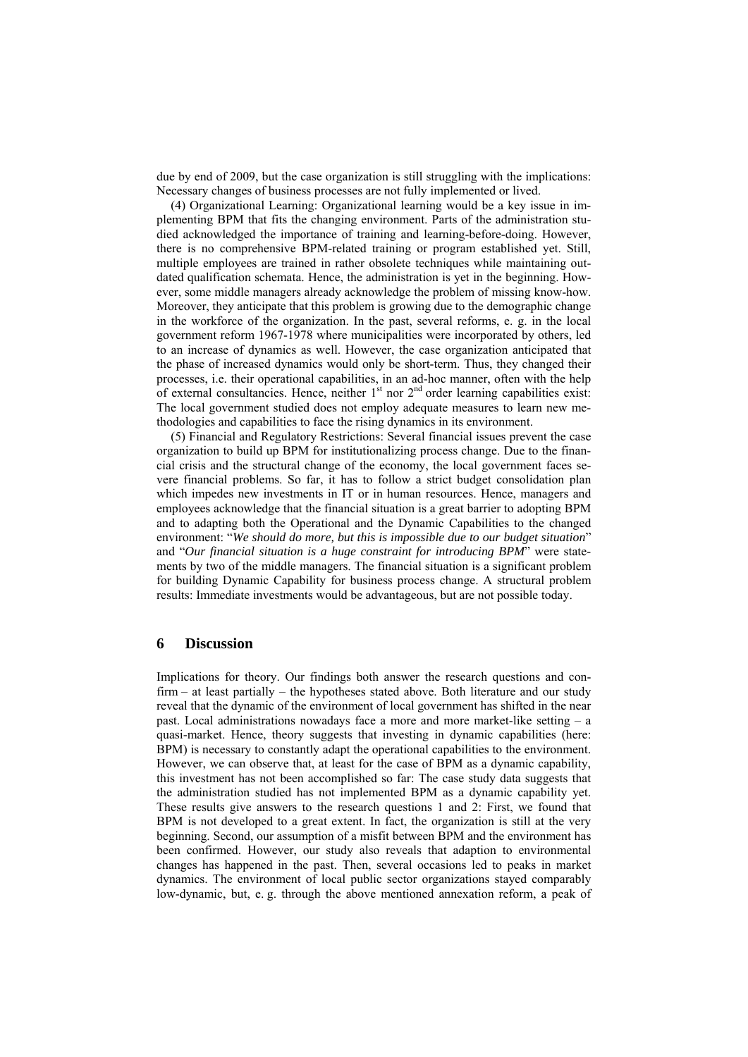due by end of 2009, but the case organization is still struggling with the implications: Necessary changes of business processes are not fully implemented or lived.

(4) Organizational Learning: Organizational learning would be a key issue in implementing BPM that fits the changing environment. Parts of the administration studied acknowledged the importance of training and learning-before-doing. However, there is no comprehensive BPM-related training or program established yet. Still, multiple employees are trained in rather obsolete techniques while maintaining outdated qualification schemata. Hence, the administration is yet in the beginning. However, some middle managers already acknowledge the problem of missing know-how. Moreover, they anticipate that this problem is growing due to the demographic change in the workforce of the organization. In the past, several reforms, e. g. in the local government reform 1967-1978 where municipalities were incorporated by others, led to an increase of dynamics as well. However, the case organization anticipated that the phase of increased dynamics would only be short-term. Thus, they changed their processes, i.e. their operational capabilities, in an ad-hoc manner, often with the help of external consultancies. Hence, neither  $1<sup>st</sup>$  nor  $2<sup>nd</sup>$  order learning capabilities exist: The local government studied does not employ adequate measures to learn new methodologies and capabilities to face the rising dynamics in its environment.

(5) Financial and Regulatory Restrictions: Several financial issues prevent the case organization to build up BPM for institutionalizing process change. Due to the financial crisis and the structural change of the economy, the local government faces severe financial problems. So far, it has to follow a strict budget consolidation plan which impedes new investments in IT or in human resources. Hence, managers and employees acknowledge that the financial situation is a great barrier to adopting BPM and to adapting both the Operational and the Dynamic Capabilities to the changed environment: "*We should do more, but this is impossible due to our budget situation*" and "*Our financial situation is a huge constraint for introducing BPM*" were statements by two of the middle managers. The financial situation is a significant problem for building Dynamic Capability for business process change. A structural problem results: Immediate investments would be advantageous, but are not possible today.

#### **6 Discussion**

Implications for theory. Our findings both answer the research questions and confirm – at least partially – the hypotheses stated above. Both literature and our study reveal that the dynamic of the environment of local government has shifted in the near past. Local administrations nowadays face a more and more market-like setting – a quasi-market. Hence, theory suggests that investing in dynamic capabilities (here: BPM) is necessary to constantly adapt the operational capabilities to the environment. However, we can observe that, at least for the case of BPM as a dynamic capability, this investment has not been accomplished so far: The case study data suggests that the administration studied has not implemented BPM as a dynamic capability yet. These results give answers to the research questions 1 and 2: First, we found that BPM is not developed to a great extent. In fact, the organization is still at the very beginning. Second, our assumption of a misfit between BPM and the environment has been confirmed. However, our study also reveals that adaption to environmental changes has happened in the past. Then, several occasions led to peaks in market dynamics. The environment of local public sector organizations stayed comparably low-dynamic, but, e. g. through the above mentioned annexation reform, a peak of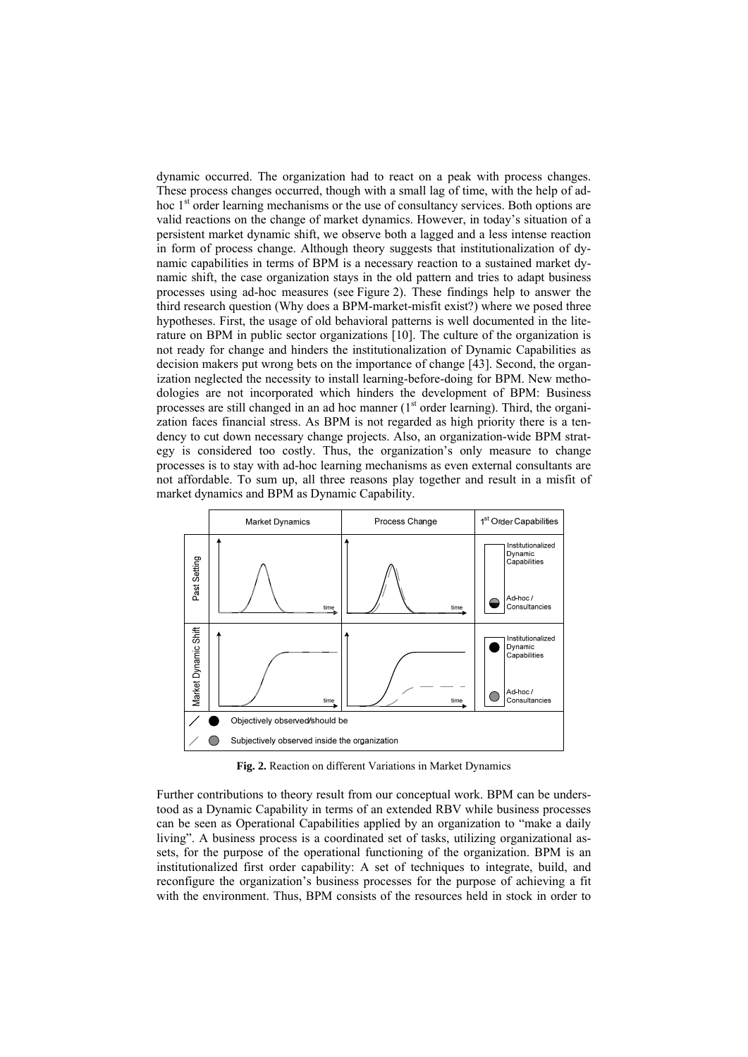dynamic occurred. The organization had to react on a peak with process changes. These process changes occurred, though with a small lag of time, with the help of adhoc 1<sup>st</sup> order learning mechanisms or the use of consultancy services. Both options are valid reactions on the change of market dynamics. However, in today's situation of a persistent market dynamic shift, we observe both a lagged and a less intense reaction in form of process change. Although theory suggests that institutionalization of dynamic capabilities in terms of BPM is a necessary reaction to a sustained market dynamic shift, the case organization stays in the old pattern and tries to adapt business processes using ad-hoc measures (see Figure 2). These findings help to answer the third research question (Why does a BPM-market-misfit exist?) where we posed three hypotheses. First, the usage of old behavioral patterns is well documented in the literature on BPM in public sector organizations [10]. The culture of the organization is not ready for change and hinders the institutionalization of Dynamic Capabilities as decision makers put wrong bets on the importance of change [43]. Second, the organization neglected the necessity to install learning-before-doing for BPM. New methodologies are not incorporated which hinders the development of BPM: Business processes are still changed in an ad hoc manner  $(1<sup>st</sup>$  order learning). Third, the organization faces financial stress. As BPM is not regarded as high priority there is a tendency to cut down necessary change projects. Also, an organization-wide BPM strategy is considered too costly. Thus, the organization's only measure to change processes is to stay with ad-hoc learning mechanisms as even external consultants are not affordable. To sum up, all three reasons play together and result in a misfit of market dynamics and BPM as Dynamic Capability.



**Fig. 2.** Reaction on different Variations in Market Dynamics

Further contributions to theory result from our conceptual work. BPM can be understood as a Dynamic Capability in terms of an extended RBV while business processes can be seen as Operational Capabilities applied by an organization to "make a daily living". A business process is a coordinated set of tasks, utilizing organizational assets, for the purpose of the operational functioning of the organization. BPM is an institutionalized first order capability: A set of techniques to integrate, build, and reconfigure the organization's business processes for the purpose of achieving a fit with the environment. Thus, BPM consists of the resources held in stock in order to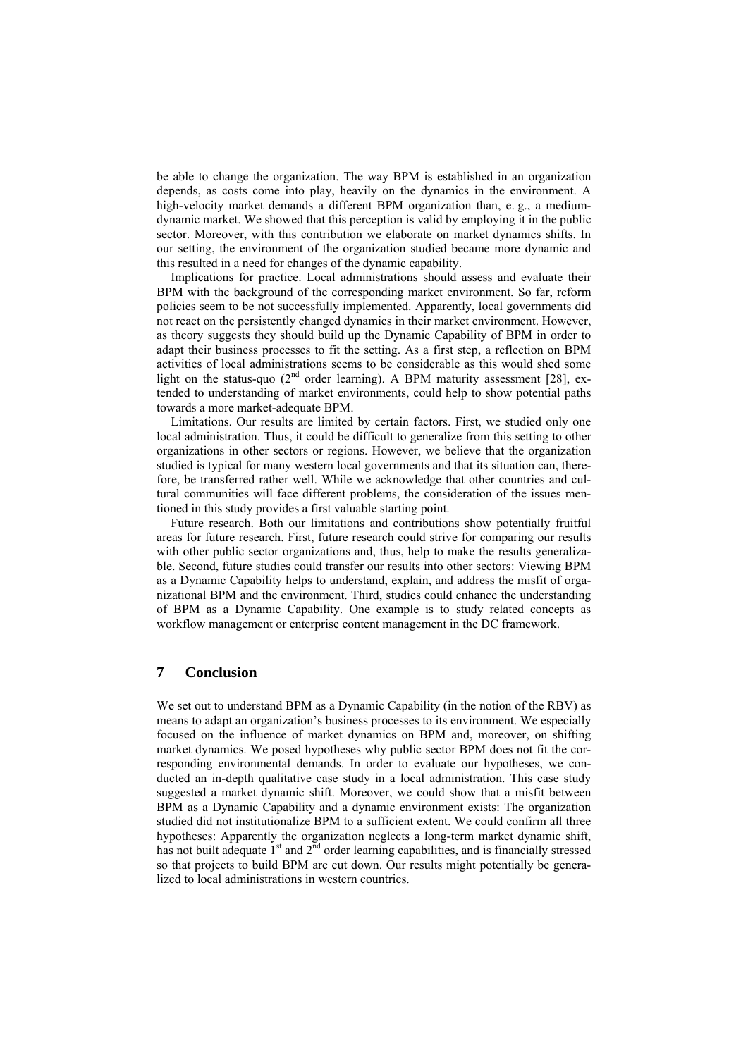be able to change the organization. The way BPM is established in an organization depends, as costs come into play, heavily on the dynamics in the environment. A high-velocity market demands a different BPM organization than, e. g., a mediumdynamic market. We showed that this perception is valid by employing it in the public sector. Moreover, with this contribution we elaborate on market dynamics shifts. In our setting, the environment of the organization studied became more dynamic and this resulted in a need for changes of the dynamic capability.

Implications for practice. Local administrations should assess and evaluate their BPM with the background of the corresponding market environment. So far, reform policies seem to be not successfully implemented. Apparently, local governments did not react on the persistently changed dynamics in their market environment. However, as theory suggests they should build up the Dynamic Capability of BPM in order to adapt their business processes to fit the setting. As a first step, a reflection on BPM activities of local administrations seems to be considerable as this would shed some light on the status-quo  $(2<sup>nd</sup>$  order learning). A BPM maturity assessment [28], extended to understanding of market environments, could help to show potential paths towards a more market-adequate BPM.

Limitations. Our results are limited by certain factors. First, we studied only one local administration. Thus, it could be difficult to generalize from this setting to other organizations in other sectors or regions. However, we believe that the organization studied is typical for many western local governments and that its situation can, therefore, be transferred rather well. While we acknowledge that other countries and cultural communities will face different problems, the consideration of the issues mentioned in this study provides a first valuable starting point.

Future research. Both our limitations and contributions show potentially fruitful areas for future research. First, future research could strive for comparing our results with other public sector organizations and, thus, help to make the results generalizable. Second, future studies could transfer our results into other sectors: Viewing BPM as a Dynamic Capability helps to understand, explain, and address the misfit of organizational BPM and the environment. Third, studies could enhance the understanding of BPM as a Dynamic Capability. One example is to study related concepts as workflow management or enterprise content management in the DC framework.

# **7 Conclusion**

We set out to understand BPM as a Dynamic Capability (in the notion of the RBV) as means to adapt an organization's business processes to its environment. We especially focused on the influence of market dynamics on BPM and, moreover, on shifting market dynamics. We posed hypotheses why public sector BPM does not fit the corresponding environmental demands. In order to evaluate our hypotheses, we conducted an in-depth qualitative case study in a local administration. This case study suggested a market dynamic shift. Moreover, we could show that a misfit between BPM as a Dynamic Capability and a dynamic environment exists: The organization studied did not institutionalize BPM to a sufficient extent. We could confirm all three hypotheses: Apparently the organization neglects a long-term market dynamic shift, has not built adequate  $1<sup>st</sup>$  and  $2<sup>nd</sup>$  order learning capabilities, and is financially stressed so that projects to build BPM are cut down. Our results might potentially be generalized to local administrations in western countries.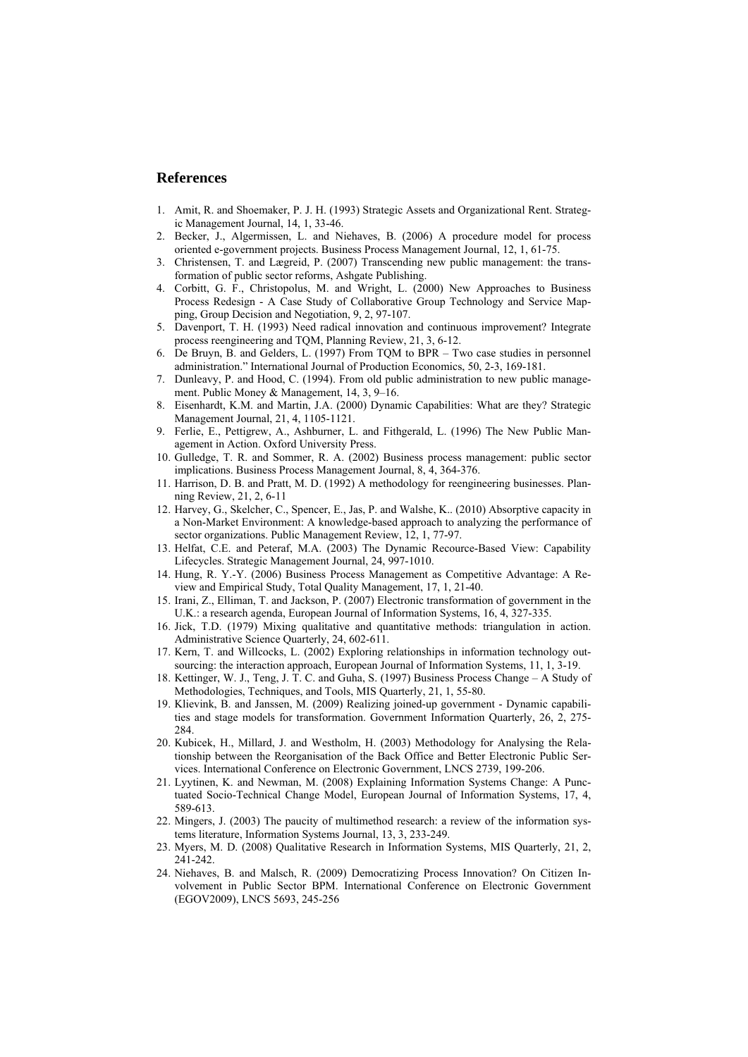### **References**

- 1. Amit, R. and Shoemaker, P. J. H. (1993) Strategic Assets and Organizational Rent. Strategic Management Journal, 14, 1, 33-46.
- 2. Becker, J., Algermissen, L. and Niehaves, B. (2006) A procedure model for process oriented e-government projects. Business Process Management Journal, 12, 1, 61-75.
- 3. Christensen, T. and Lægreid, P. (2007) Transcending new public management: the transformation of public sector reforms, Ashgate Publishing.
- 4. Corbitt, G. F., Christopolus, M. and Wright, L. (2000) New Approaches to Business Process Redesign - A Case Study of Collaborative Group Technology and Service Mapping, Group Decision and Negotiation, 9, 2, 97-107.
- 5. Davenport, T. H. (1993) Need radical innovation and continuous improvement? Integrate process reengineering and TQM, Planning Review, 21, 3, 6-12.
- 6. De Bruyn, B. and Gelders, L. (1997) From TQM to BPR Two case studies in personnel administration." International Journal of Production Economics, 50, 2-3, 169-181.
- 7. Dunleavy, P. and Hood, C. (1994). From old public administration to new public management. Public Money & Management, 14, 3, 9–16.
- 8. Eisenhardt, K.M. and Martin, J.A. (2000) Dynamic Capabilities: What are they? Strategic Management Journal, 21, 4, 1105-1121.
- 9. Ferlie, E., Pettigrew, A., Ashburner, L. and Fithgerald, L. (1996) The New Public Management in Action. Oxford University Press.
- 10. Gulledge, T. R. and Sommer, R. A. (2002) Business process management: public sector implications. Business Process Management Journal, 8, 4, 364-376.
- 11. Harrison, D. B. and Pratt, M. D. (1992) A methodology for reengineering businesses. Planning Review, 21, 2, 6-11
- 12. Harvey, G., Skelcher, C., Spencer, E., Jas, P. and Walshe, K.. (2010) Absorptive capacity in a Non-Market Environment: A knowledge-based approach to analyzing the performance of sector organizations. Public Management Review, 12, 1, 77-97.
- 13. Helfat, C.E. and Peteraf, M.A. (2003) The Dynamic Recource-Based View: Capability Lifecycles. Strategic Management Journal, 24, 997-1010.
- 14. Hung, R. Y.-Y. (2006) Business Process Management as Competitive Advantage: A Review and Empirical Study, Total Quality Management, 17, 1, 21-40.
- 15. Irani, Z., Elliman, T. and Jackson, P. (2007) Electronic transformation of government in the U.K.: a research agenda, European Journal of Information Systems, 16, 4, 327-335.
- 16. Jick, T.D. (1979) Mixing qualitative and quantitative methods: triangulation in action. Administrative Science Quarterly, 24, 602-611.
- 17. Kern, T. and Willcocks, L. (2002) Exploring relationships in information technology outsourcing: the interaction approach, European Journal of Information Systems, 11, 1, 3-19.
- 18. Kettinger, W. J., Teng, J. T. C. and Guha, S. (1997) Business Process Change A Study of Methodologies, Techniques, and Tools, MIS Quarterly, 21, 1, 55-80.
- 19. Klievink, B. and Janssen, M. (2009) Realizing joined-up government Dynamic capabilities and stage models for transformation. Government Information Quarterly, 26, 2, 275- 284.
- 20. Kubicek, H., Millard, J. and Westholm, H. (2003) Methodology for Analysing the Relationship between the Reorganisation of the Back Office and Better Electronic Public Services. International Conference on Electronic Government, LNCS 2739, 199-206.
- 21. Lyytinen, K. and Newman, M. (2008) Explaining Information Systems Change: A Punctuated Socio-Technical Change Model, European Journal of Information Systems, 17, 4, 589-613.
- 22. Mingers, J. (2003) The paucity of multimethod research: a review of the information systems literature, Information Systems Journal, 13, 3, 233-249.
- 23. Myers, M. D. (2008) Qualitative Research in Information Systems, MIS Quarterly, 21, 2, 241-242.
- 24. Niehaves, B. and Malsch, R. (2009) Democratizing Process Innovation? On Citizen Involvement in Public Sector BPM. International Conference on Electronic Government (EGOV2009), LNCS 5693, 245-256